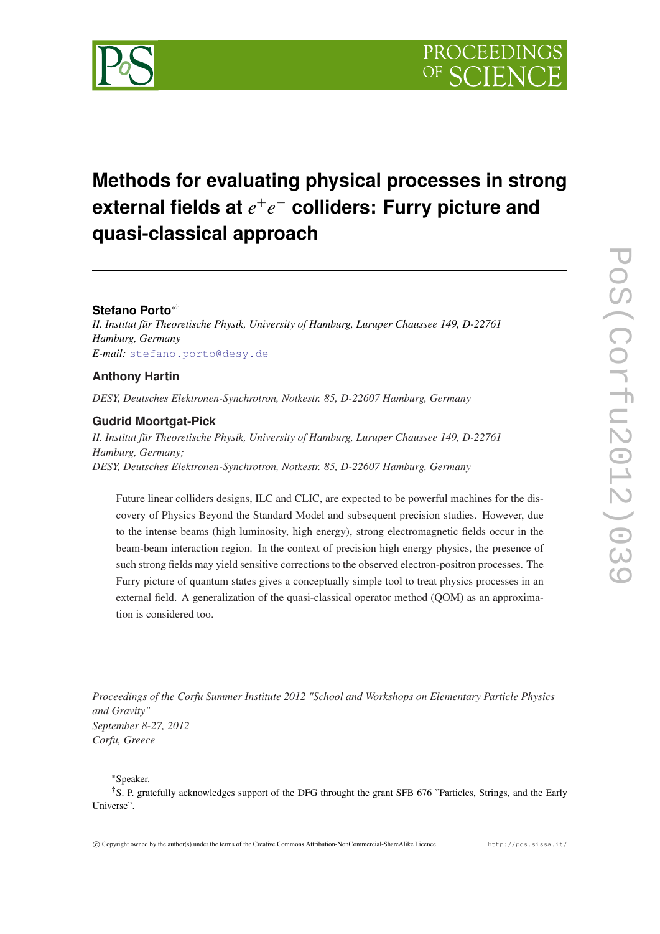

# **Methods for evaluating physical processes in strong external fields at** *e* +*e* <sup>−</sup> **colliders: Furry picture and quasi-classical approach**

# **Stefano Porto**∗†

*II. Institut für Theoretische Physik, University of Hamburg, Luruper Chaussee 149, D-22761 Hamburg, Germany E-mail:* [stefano.porto@desy.de](mailto:stefano.porto@desy.de)

# **Anthony Hartin**

*DESY, Deutsches Elektronen-Synchrotron, Notkestr. 85, D-22607 Hamburg, Germany*

## **Gudrid Moortgat-Pick**

*II. Institut für Theoretische Physik, University of Hamburg, Luruper Chaussee 149, D-22761 Hamburg, Germany; DESY, Deutsches Elektronen-Synchrotron, Notkestr. 85, D-22607 Hamburg, Germany*

Future linear colliders designs, ILC and CLIC, are expected to be powerful machines for the discovery of Physics Beyond the Standard Model and subsequent precision studies. However, due to the intense beams (high luminosity, high energy), strong electromagnetic fields occur in the beam-beam interaction region. In the context of precision high energy physics, the presence of such strong fields may yield sensitive corrections to the observed electron-positron processes. The Furry picture of quantum states gives a conceptually simple tool to treat physics processes in an external field. A generalization of the quasi-classical operator method (QOM) as an approximation is considered too.

*Proceedings of the Corfu Summer Institute 2012 "School and Workshops on Elementary Particle Physics and Gravity" September 8-27, 2012 Corfu, Greece*

<sup>∗</sup>Speaker.

<sup>†</sup>S. P. gratefully acknowledges support of the DFG throught the grant SFB 676 "Particles, Strings, and the Early Universe".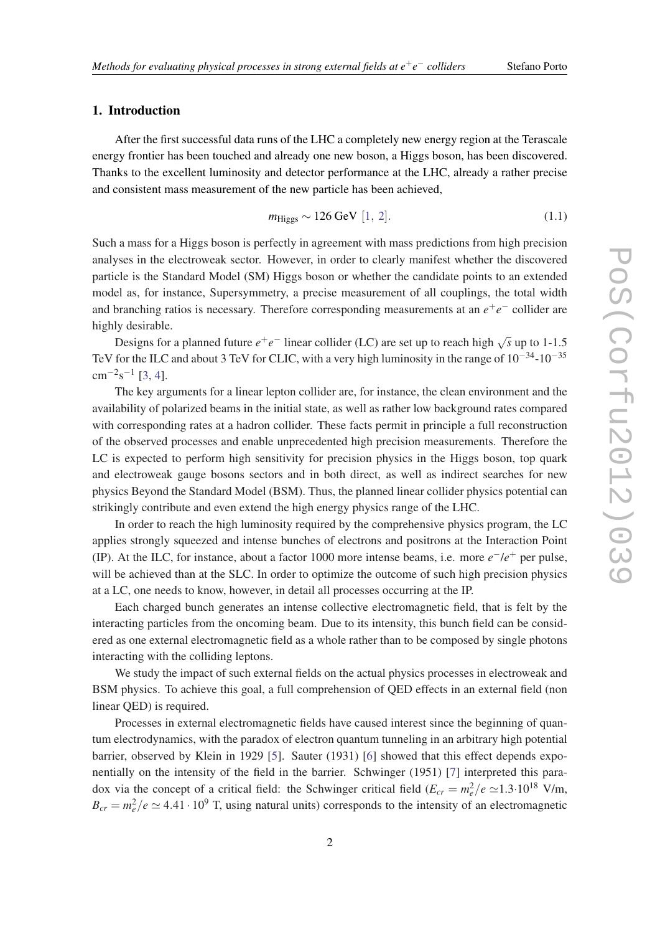#### − *colliders* Stefano Porto

#### 1. Introduction

After the first successful data runs of the LHC a completely new energy region at the Terascale energy frontier has been touched and already one new boson, a Higgs boson, has been discovered. Thanks to the excellent luminosity and detector performance at the LHC, already a rather precise and consistent mass measurement of the new particle has been achieved,

$$
m_{\text{Higgs}} \sim 126 \text{ GeV} [1, 2].
$$
 (1.1)

Such a mass for a Higgs boson is perfectly in agreement with mass predictions from high precision analyses in the electroweak sector. However, in order to clearly manifest whether the discovered particle is the Standard Model (SM) Higgs boson or whether the candidate points to an extended model as, for instance, Supersymmetry, a precise measurement of all couplings, the total width and branching ratios is necessary. Therefore corresponding measurements at an *e*<sup>+</sup>*e*<sup>−</sup> collider are highly desirable.

Designs for a planned future  $e^+e^-$  linear collider (LC) are set up to reach high  $\sqrt{s}$  up to 1-1.5 TeV for the ILC and about 3 TeV for CLIC, with a very high luminosity in the range of  $10^{-34}$ - $10^{-35}$  $\text{cm}^{-2}\text{s}^{-1}$  [[3](#page-11-0), [4\]](#page-11-0).

The key arguments for a linear lepton collider are, for instance, the clean environment and the availability of polarized beams in the initial state, as well as rather low background rates compared with corresponding rates at a hadron collider. These facts permit in principle a full reconstruction of the observed processes and enable unprecedented high precision measurements. Therefore the LC is expected to perform high sensitivity for precision physics in the Higgs boson, top quark and electroweak gauge bosons sectors and in both direct, as well as indirect searches for new physics Beyond the Standard Model (BSM). Thus, the planned linear collider physics potential can strikingly contribute and even extend the high energy physics range of the LHC.

In order to reach the high luminosity required by the comprehensive physics program, the LC applies strongly squeezed and intense bunches of electrons and positrons at the Interaction Point (IP). At the ILC, for instance, about a factor 1000 more intense beams, i.e. more  $e^-/e^+$  per pulse, will be achieved than at the SLC. In order to optimize the outcome of such high precision physics at a LC, one needs to know, however, in detail all processes occurring at the IP.

Each charged bunch generates an intense collective electromagnetic field, that is felt by the interacting particles from the oncoming beam. Due to its intensity, this bunch field can be considered as one external electromagnetic field as a whole rather than to be composed by single photons interacting with the colliding leptons.

We study the impact of such external fields on the actual physics processes in electroweak and BSM physics. To achieve this goal, a full comprehension of QED effects in an external field (non linear QED) is required.

Processes in external electromagnetic fields have caused interest since the beginning of quantum electrodynamics, with the paradox of electron quantum tunneling in an arbitrary high potential barrier, observed by Klein in 1929 [\[5\]](#page-12-0). Sauter (1931) [[6](#page-12-0)] showed that this effect depends exponentially on the intensity of the field in the barrier. Schwinger (1951) [\[7](#page-12-0)] interpreted this paradox via the concept of a critical field: the Schwinger critical field  $(E_{cr} = m_e^2/e \simeq 1.3 \cdot 10^{18}$  V/m,  $B_{cr} = m_e^2/e \simeq 4.41 \cdot 10^9$  T, using natural units) corresponds to the intensity of an electromagnetic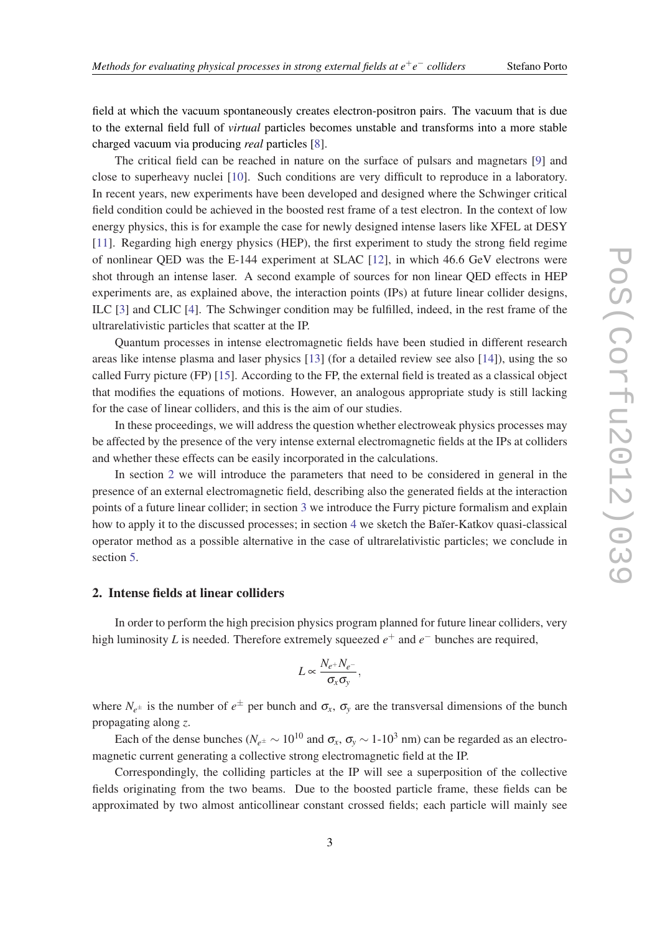− *colliders* Stefano Porto

<span id="page-2-0"></span>field at which the vacuum spontaneously creates electron-positron pairs. The vacuum that is due to the external field full of *virtual* particles becomes unstable and transforms into a more stable charged vacuum via producing *real* particles [[8](#page-12-0)].

The critical field can be reached in nature on the surface of pulsars and magnetars [\[9\]](#page-12-0) and close to superheavy nuclei [[10\]](#page-12-0). Such conditions are very difficult to reproduce in a laboratory. In recent years, new experiments have been developed and designed where the Schwinger critical field condition could be achieved in the boosted rest frame of a test electron. In the context of low energy physics, this is for example the case for newly designed intense lasers like XFEL at DESY [[11\]](#page-12-0). Regarding high energy physics (HEP), the first experiment to study the strong field regime of nonlinear QED was the E-144 experiment at SLAC [[12\]](#page-12-0), in which 46.6 GeV electrons were shot through an intense laser. A second example of sources for non linear QED effects in HEP experiments are, as explained above, the interaction points (IPs) at future linear collider designs, ILC [[3](#page-11-0)] and CLIC [\[4\]](#page-11-0). The Schwinger condition may be fulfilled, indeed, in the rest frame of the ultrarelativistic particles that scatter at the IP.

Quantum processes in intense electromagnetic fields have been studied in different research areas like intense plasma and laser physics [\[13](#page-12-0)] (for a detailed review see also [[14\]](#page-12-0)), using the so called Furry picture (FP) [\[15](#page-12-0)]. According to the FP, the external field is treated as a classical object that modifies the equations of motions. However, an analogous appropriate study is still lacking for the case of linear colliders, and this is the aim of our studies.

In these proceedings, we will address the question whether electroweak physics processes may be affected by the presence of the very intense external electromagnetic fields at the IPs at colliders and whether these effects can be easily incorporated in the calculations.

In section 2 we will introduce the parameters that need to be considered in general in the presence of an external electromagnetic field, describing also the generated fields at the interaction points of a future linear collider; in section [3](#page-5-0) we introduce the Furry picture formalism and explain how to apply it to the discussed processes; in section [4](#page-9-0) we sketch the Baĭer-Katkov quasi-classical operator method as a possible alternative in the case of ultrarelativistic particles; we conclude in section [5](#page-11-0).

#### 2. Intense fields at linear colliders

In order to perform the high precision physics program planned for future linear colliders, very high luminosity *L* is needed. Therefore extremely squeezed  $e^+$  and  $e^-$  bunches are required,

$$
L \propto \frac{N_{e^+} N_{e^-}}{\sigma_x \sigma_y},
$$

where  $N_{e^{\pm}}$  is the number of  $e^{\pm}$  per bunch and  $\sigma_x$ ,  $\sigma_y$  are the transversal dimensions of the bunch propagating along *z*.

Each of the dense bunches ( $N_{e^{\pm}} \sim 10^{10}$  and  $\sigma_x$ ,  $\sigma_y \sim 1$ -10<sup>3</sup> nm) can be regarded as an electromagnetic current generating a collective strong electromagnetic field at the IP.

Correspondingly, the colliding particles at the IP will see a superposition of the collective fields originating from the two beams. Due to the boosted particle frame, these fields can be approximated by two almost anticollinear constant crossed fields; each particle will mainly see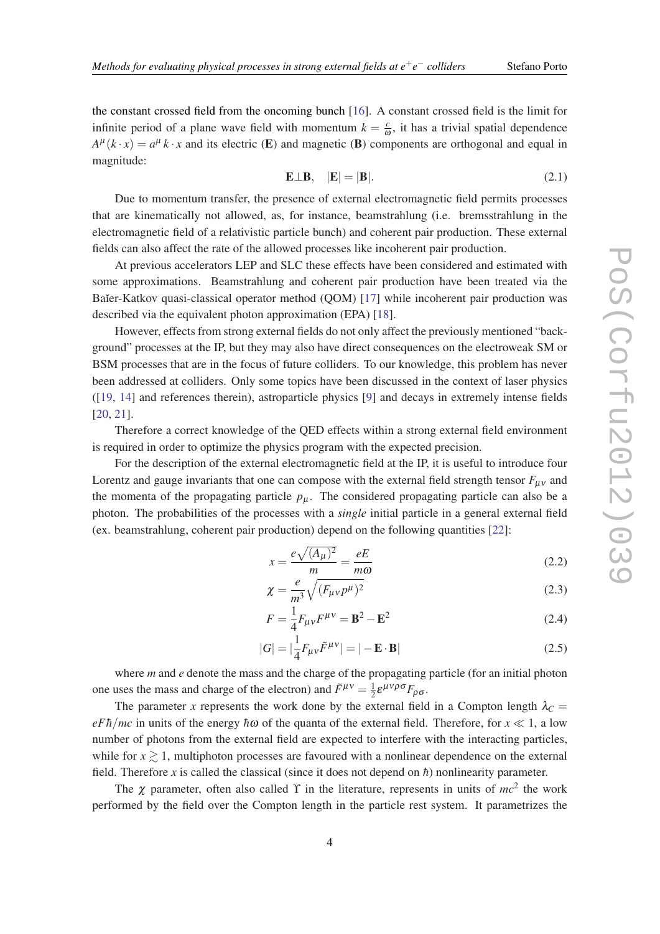<span id="page-3-0"></span>the constant crossed field from the oncoming bunch [\[16](#page-12-0)]. A constant crossed field is the limit for infinite period of a plane wave field with momentum  $k = \frac{c}{a}$  $\frac{c}{\omega}$ , it has a trivial spatial dependence  $A^{\mu}(k \cdot x) = a^{\mu} k \cdot x$  and its electric (**E**) and magnetic (**B**) components are orthogonal and equal in magnitude:

$$
\mathbf{E} \perp \mathbf{B}, \quad |\mathbf{E}| = |\mathbf{B}|. \tag{2.1}
$$

Due to momentum transfer, the presence of external electromagnetic field permits processes that are kinematically not allowed, as, for instance, beamstrahlung (i.e. bremsstrahlung in the electromagnetic field of a relativistic particle bunch) and coherent pair production. These external fields can also affect the rate of the allowed processes like incoherent pair production.

At previous accelerators LEP and SLC these effects have been considered and estimated with some approximations. Beamstrahlung and coherent pair production have been treated via the Baĭer-Katkov quasi-classical operator method (OOM) [[17\]](#page-12-0) while incoherent pair production was described via the equivalent photon approximation (EPA) [\[18](#page-12-0)].

However, effects from strong external fields do not only affect the previously mentioned "background" processes at the IP, but they may also have direct consequences on the electroweak SM or BSM processes that are in the focus of future colliders. To our knowledge, this problem has never been addressed at colliders. Only some topics have been discussed in the context of laser physics ([[19,](#page-12-0) [14\]](#page-12-0) and references therein), astroparticle physics [\[9\]](#page-12-0) and decays in extremely intense fields [[20,](#page-12-0) [21](#page-12-0)].

Therefore a correct knowledge of the QED effects within a strong external field environment is required in order to optimize the physics program with the expected precision.

For the description of the external electromagnetic field at the IP, it is useful to introduce four Lorentz and gauge invariants that one can compose with the external field strength tensor  $F_{\mu\nu}$  and the momenta of the propagating particle  $p_{\mu}$ . The considered propagating particle can also be a photon. The probabilities of the processes with a *single* initial particle in a general external field (ex. beamstrahlung, coherent pair production) depend on the following quantities [\[22](#page-12-0)]:

$$
x = \frac{e\sqrt{(A_{\mu})^2}}{m} = \frac{eE}{m\omega}
$$
 (2.2)

$$
\chi = \frac{e}{m^3} \sqrt{(F_{\mu\nu}p^{\mu})^2} \tag{2.3}
$$

$$
F = \frac{1}{4} F_{\mu\nu} F^{\mu\nu} = \mathbf{B}^2 - \mathbf{E}^2
$$
 (2.4)

$$
|G| = \left| \frac{1}{4} F_{\mu\nu} \tilde{F}^{\mu\nu} \right| = \left| -\mathbf{E} \cdot \mathbf{B} \right| \tag{2.5}
$$

where *m* and *e* denote the mass and the charge of the propagating particle (for an initial photon one uses the mass and charge of the electron) and  $\tilde{F}^{\mu\nu} = \frac{1}{2}$  $rac{1}{2}$ ε<sup>μνρσ</sup> $F_{\rho\sigma}$ .

The parameter *x* represents the work done by the external field in a Compton length  $\lambda_c$ *eFh/mc* in units of the energy  $h\omega$  of the quanta of the external field. Therefore, for  $x \ll 1$ , a low number of photons from the external field are expected to interfere with the interacting particles, while for  $x \ge 1$ , multiphoton processes are favoured with a nonlinear dependence on the external field. Therefore x is called the classical (since it does not depend on  $\hbar$ ) nonlinearity parameter.

The  $\chi$  parameter, often also called Y in the literature, represents in units of  $mc^2$  the work performed by the field over the Compton length in the particle rest system. It parametrizes the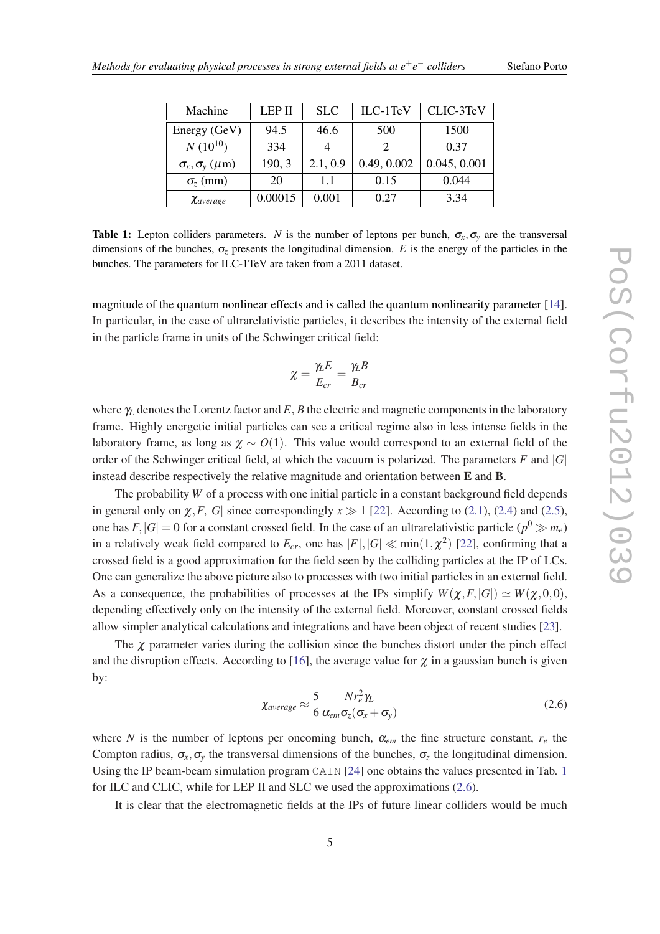| Machine                        | <b>LEP II</b> | <b>SLC</b> | ILC-1TeV    | CLIC-3TeV    |
|--------------------------------|---------------|------------|-------------|--------------|
| Energy (GeV)                   | 94.5          | 46.6       | 500         | 1500         |
| $N(10^{10})$                   | 334           |            |             | 0.37         |
| $\sigma_x, \sigma_y \ (\mu m)$ | 190, 3        | 2.1, 0.9   | 0.49, 0.002 | 0.045, 0.001 |
| $\sigma$ <sub>z</sub> (mm)     | 20            | 1.1        | 0.15        | 0.044        |
| $\chi$ average                 | 0.00015       | 0.001      | 0.27        | 3.34         |

Table 1: Lepton colliders parameters. *N* is the number of leptons per bunch,  $\sigma_x$ ,  $\sigma_y$  are the transversal dimensions of the bunches,  $\sigma_z$  presents the longitudinal dimension. *E* is the energy of the particles in the bunches. The parameters for ILC-1TeV are taken from a 2011 dataset.

magnitude of the quantum nonlinear effects and is called the quantum nonlinearity parameter [[14\]](#page-12-0). In particular, in the case of ultrarelativistic particles, it describes the intensity of the external field in the particle frame in units of the Schwinger critical field:

$$
\chi = \frac{\gamma_L E}{E_{cr}} = \frac{\gamma_L B}{B_{cr}}
$$

where γ*<sup>L</sup>* denotes the Lorentz factor and *E*, *B* the electric and magnetic components in the laboratory frame. Highly energetic initial particles can see a critical regime also in less intense fields in the laboratory frame, as long as  $\chi \sim O(1)$ . This value would correspond to an external field of the order of the Schwinger critical field, at which the vacuum is polarized. The parameters  $F$  and  $|G|$ instead describe respectively the relative magnitude and orientation between E and B.

The probability *W* of a process with one initial particle in a constant background field depends in general only on  $\chi$ , *F*, |*G*| since correspondingly  $x \gg 1$  [\[22\]](#page-12-0). According to ([2.1](#page-3-0)), [\(2.4\)](#page-3-0) and ([2.5\)](#page-3-0), one has  $F, |G| = 0$  for a constant crossed field. In the case of an ultrarelativistic particle  $(p^0 \gg m_e)$ in a relatively weak field compared to  $E_{cr}$ , one has  $|F|, |G| \ll \min(1, \chi^2)$  [\[22\]](#page-12-0), confirming that a crossed field is a good approximation for the field seen by the colliding particles at the IP of LCs. One can generalize the above picture also to processes with two initial particles in an external field. As a consequence, the probabilities of processes at the IPs simplify  $W(\chi, F, |G|) \simeq W(\chi, 0, 0)$ , depending effectively only on the intensity of the external field. Moreover, constant crossed fields allow simpler analytical calculations and integrations and have been object of recent studies [\[23\]](#page-12-0).

The  $\chi$  parameter varies during the collision since the bunches distort under the pinch effect and the disruption effects. According to [[16](#page-12-0)], the average value for  $\chi$  in a gaussian bunch is given by:

$$
\chi_{\text{average}} \approx \frac{5}{6} \frac{N r_e^2 \gamma_L}{\alpha_{\text{em}} \sigma_z (\sigma_x + \sigma_y)}
$$
(2.6)

where *N* is the number of leptons per oncoming bunch,  $\alpha_{em}$  the fine structure constant,  $r_e$  the Compton radius,  $\sigma_x$ ,  $\sigma_y$  the transversal dimensions of the bunches,  $\sigma_z$  the longitudinal dimension. Using the IP beam-beam simulation program CAIN [[24\]](#page-12-0) one obtains the values presented in Tab. 1 for ILC and CLIC, while for LEP II and SLC we used the approximations (2.6).

It is clear that the electromagnetic fields at the IPs of future linear colliders would be much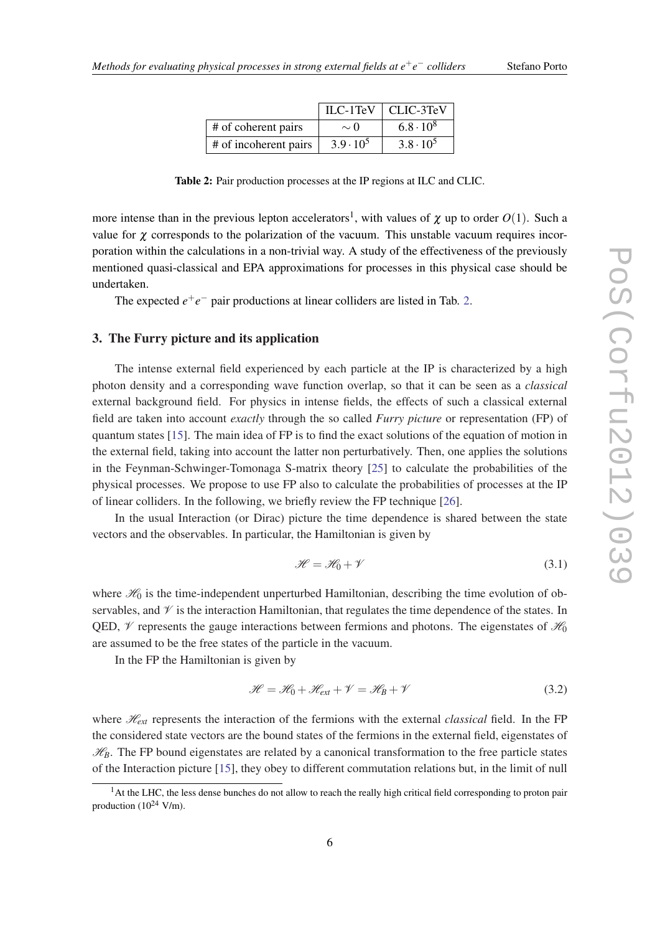| Stefano Porto |  |
|---------------|--|
|               |  |

<span id="page-5-0"></span>

|                       |                  | $ILC-1TeV$   CLIC-3TeV |
|-----------------------|------------------|------------------------|
| # of coherent pairs   | $\sim$ ()        | $6.8 \cdot 10^8$       |
| # of incoherent pairs | $3.9 \cdot 10^5$ | $3.8 \cdot 10^5$       |

Table 2: Pair production processes at the IP regions at ILC and CLIC.

more intense than in the previous lepton accelerators<sup>1</sup>, with values of  $\chi$  up to order  $O(1)$ . Such a value for  $\chi$  corresponds to the polarization of the vacuum. This unstable vacuum requires incorporation within the calculations in a non-trivial way. A study of the effectiveness of the previously mentioned quasi-classical and EPA approximations for processes in this physical case should be undertaken.

The expected  $e^+e^-$  pair productions at linear colliders are listed in Tab. 2.

#### 3. The Furry picture and its application

The intense external field experienced by each particle at the IP is characterized by a high photon density and a corresponding wave function overlap, so that it can be seen as a *classical* external background field. For physics in intense fields, the effects of such a classical external field are taken into account *exactly* through the so called *Furry picture* or representation (FP) of quantum states [[15\]](#page-12-0). The main idea of FP is to find the exact solutions of the equation of motion in the external field, taking into account the latter non perturbatively. Then, one applies the solutions in the Feynman-Schwinger-Tomonaga S-matrix theory [\[25](#page-13-0)] to calculate the probabilities of the physical processes. We propose to use FP also to calculate the probabilities of processes at the IP of linear colliders. In the following, we briefly review the FP technique [\[26](#page-13-0)].

In the usual Interaction (or Dirac) picture the time dependence is shared between the state vectors and the observables. In particular, the Hamiltonian is given by

$$
\mathcal{H} = \mathcal{H}_0 + \mathcal{V} \tag{3.1}
$$

where  $\mathcal{H}_0$  is the time-independent unperturbed Hamiltonian, describing the time evolution of observables, and  $\mathcal V$  is the interaction Hamiltonian, that regulates the time dependence of the states. In QED,  $\mathcal V$  represents the gauge interactions between fermions and photons. The eigenstates of  $\mathcal H_0$ are assumed to be the free states of the particle in the vacuum.

In the FP the Hamiltonian is given by

$$
\mathcal{H} = \mathcal{H}_0 + \mathcal{H}_{ext} + \mathcal{V} = \mathcal{H}_B + \mathcal{V}
$$
\n(3.2)

where  $\mathcal{H}_{ext}$  represents the interaction of the fermions with the external *classical* field. In the FP the considered state vectors are the bound states of the fermions in the external field, eigenstates of  $\mathcal{H}_B$ . The FP bound eigenstates are related by a canonical transformation to the free particle states of the Interaction picture [\[15](#page-12-0)], they obey to different commutation relations but, in the limit of null

<sup>&</sup>lt;sup>1</sup>At the LHC, the less dense bunches do not allow to reach the really high critical field corresponding to proton pair production  $(10^{24}$  V/m).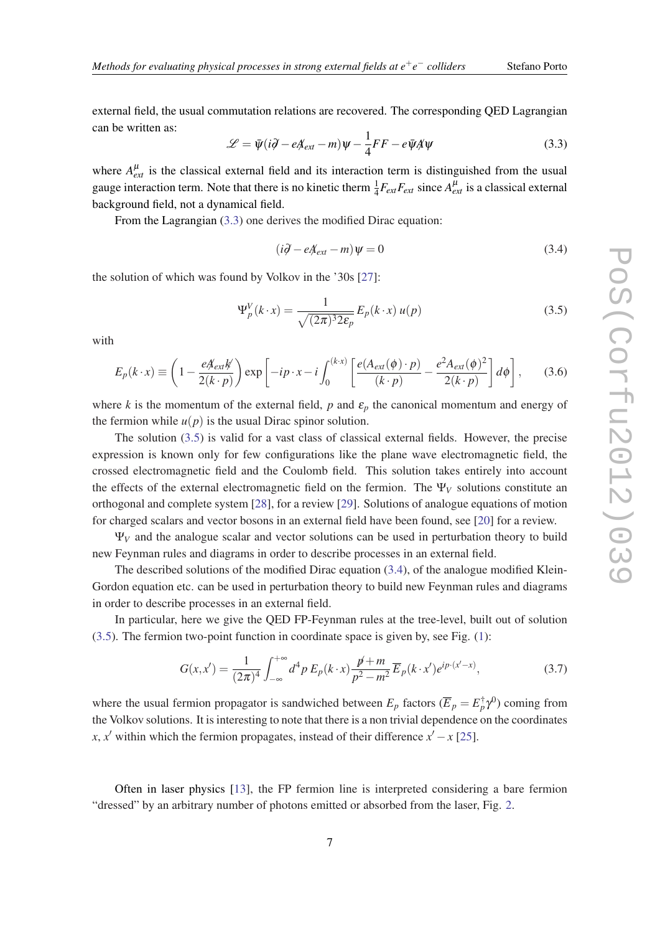external field, the usual commutation relations are recovered. The corresponding QED Lagrangian can be written as:

$$
\mathcal{L} = \bar{\psi}(i\partial - eA_{ext} - m)\psi - \frac{1}{4}FF - e\bar{\psi}A\psi
$$
 (3.3)

where  $A_{ext}^{\mu}$  is the classical external field and its interaction term is distinguished from the usual gauge interaction term. Note that there is no kinetic therm  $\frac{1}{4}F_{ext}F_{ext}$  since  $A_{ext}^{\mu}$  is a classical external background field, not a dynamical field.

From the Lagrangian  $(3.3)$  one derives the modified Dirac equation:

$$
(i\partial - eA_{ext} - m)\psi = 0\tag{3.4}
$$

the solution of which was found by Volkov in the '30s [\[27\]](#page-13-0):

$$
\Psi_p^V(k \cdot x) = \frac{1}{\sqrt{(2\pi)^3 2\varepsilon_p}} E_p(k \cdot x) u(p)
$$
\n(3.5)

with

$$
E_p(k \cdot x) \equiv \left(1 - \frac{eA_{ext}k}{2(k \cdot p)}\right) \exp\left[-ip \cdot x - i \int_0^{(k \cdot x)} \left[\frac{e(A_{ext}(\phi) \cdot p)}{(k \cdot p)} - \frac{e^2 A_{ext}(\phi)^2}{2(k \cdot p)}\right] d\phi\right],\tag{3.6}
$$

where *k* is the momentum of the external field,  $p$  and  $\varepsilon_p$  the canonical momentum and energy of the fermion while  $u(p)$  is the usual Dirac spinor solution.

The solution (3.5) is valid for a vast class of classical external fields. However, the precise expression is known only for few configurations like the plane wave electromagnetic field, the crossed electromagnetic field and the Coulomb field. This solution takes entirely into account the effects of the external electromagnetic field on the fermion. The  $\Psi_V$  solutions constitute an orthogonal and complete system [\[28](#page-13-0)], for a review [[29](#page-13-0)]. Solutions of analogue equations of motion for charged scalars and vector bosons in an external field have been found, see [\[20](#page-12-0)] for a review.

 $\Psi_V$  and the analogue scalar and vector solutions can be used in perturbation theory to build new Feynman rules and diagrams in order to describe processes in an external field.

The described solutions of the modified Dirac equation (3.4), of the analogue modified Klein-Gordon equation etc. can be used in perturbation theory to build new Feynman rules and diagrams in order to describe processes in an external field.

In particular, here we give the QED FP-Feynman rules at the tree-level, built out of solution (3.5). The fermion two-point function in coordinate space is given by, see Fig. ([1\)](#page-7-0):

$$
G(x,x') = \frac{1}{(2\pi)^4} \int_{-\infty}^{+\infty} d^4 p \, E_p(k \cdot x) \frac{p \cdot p}{p^2 - m^2} \overline{E}_p(k \cdot x') e^{ip \cdot (x'-x)},\tag{3.7}
$$

where the usual fermion propagator is sandwiched between  $E_p$  factors  $(\overline{E}_p = E_p^{\dagger} \gamma^0)$  coming from the Volkov solutions. It is interesting to note that there is a non trivial dependence on the coordinates *x*, *x*<sup> $\prime$ </sup> within which the fermion propagates, instead of their difference *x*<sup> $\prime$ </sup> − *x* [\[25\]](#page-13-0).

Often in laser physics [\[13](#page-12-0)], the FP fermion line is interpreted considering a bare fermion "dressed" by an arbitrary number of photons emitted or absorbed from the laser, Fig. [2.](#page-7-0)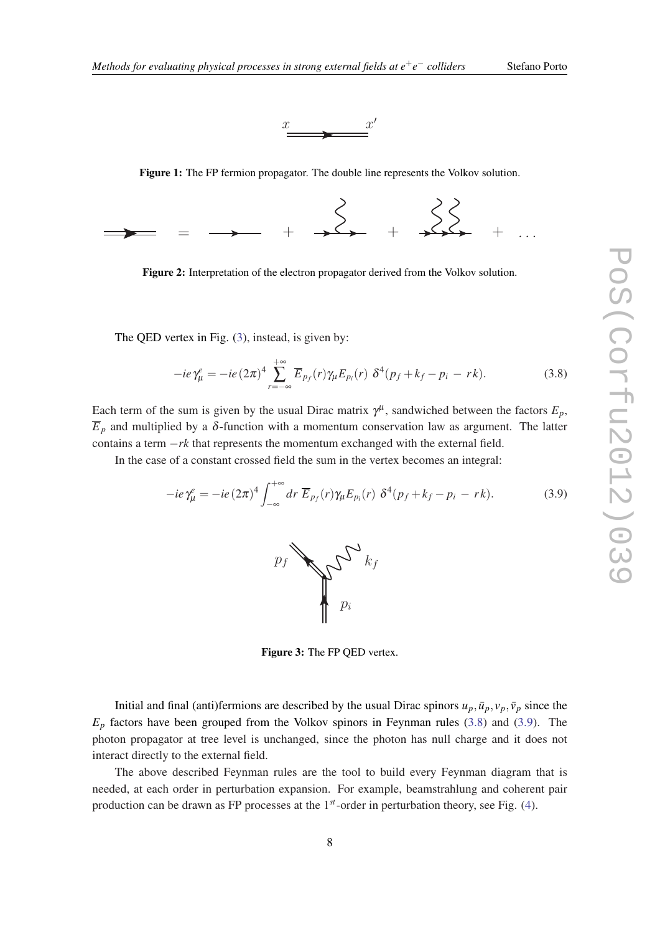



Figure 1: The FP fermion propagator. The double line represents the Volkov solution.

<span id="page-7-0"></span>

Figure 2: Interpretation of the electron propagator derived from the Volkov solution.

The QED vertex in Fig. (3), instead, is given by:

$$
-ie\gamma_{\mu}^e = -ie(2\pi)^4 \sum_{r=-\infty}^{+\infty} \overline{E}_{p_f}(r)\gamma_{\mu}E_{p_i}(r)\ \delta^4(p_f+k_f-p_i-rk). \tag{3.8}
$$

Each term of the sum is given by the usual Dirac matrix  $\gamma^{\mu}$ , sandwiched between the factors  $E_p$ ,  $\overline{E}_p$  and multiplied by a  $\delta$ -function with a momentum conservation law as argument. The latter contains a term −*rk* that represents the momentum exchanged with the external field.

In the case of a constant crossed field the sum in the vertex becomes an integral:

$$
-ie\gamma_{\mu}^e = -ie(2\pi)^4 \int_{-\infty}^{+\infty} dr \ \overline{E}_{p_f}(r)\gamma_{\mu}E_{p_i}(r) \ \delta^4(p_f+k_f-p_i-rk). \tag{3.9}
$$



Figure 3: The FP QED vertex.

Initial and final (anti)fermions are described by the usual Dirac spinors  $u_p$ ,  $\bar{u}_p$ ,  $v_p$ ,  $\bar{v}_p$  since the  $E_p$  factors have been grouped from the Volkov spinors in Feynman rules (3.8) and (3.9). The photon propagator at tree level is unchanged, since the photon has null charge and it does not interact directly to the external field.

The above described Feynman rules are the tool to build every Feynman diagram that is needed, at each order in perturbation expansion. For example, beamstrahlung and coherent pair production can be drawn as FP processes at the 1*st*-order in perturbation theory, see Fig. ([4](#page-8-0)).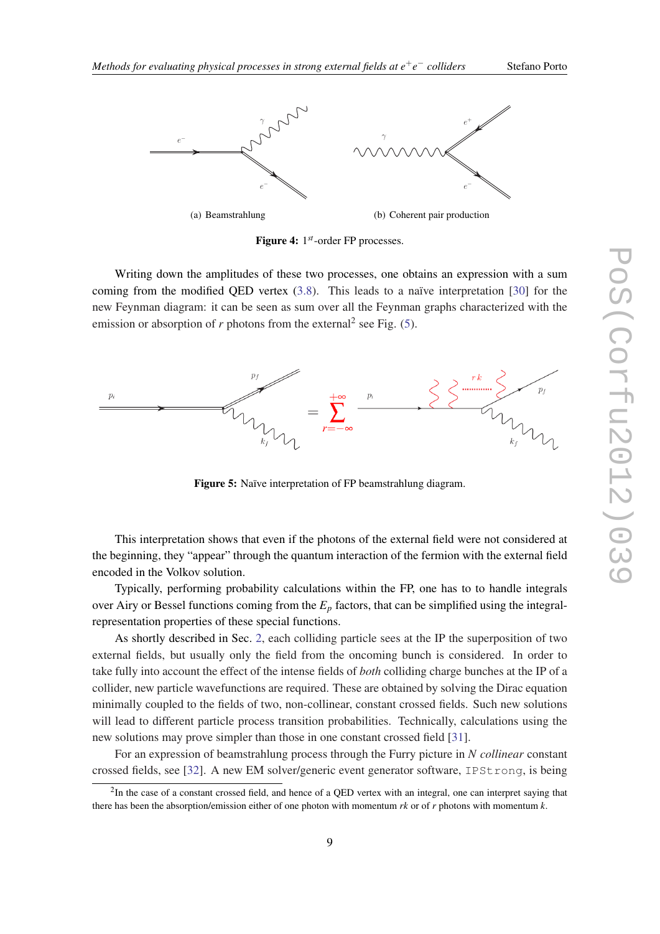<span id="page-8-0"></span>

Figure 4: 1 *st*-order FP processes.

Writing down the amplitudes of these two processes, one obtains an expression with a sum coming from the modified QED vertex [\(3.8\)](#page-7-0). This leads to a naïve interpretation [[30\]](#page-13-0) for the new Feynman diagram: it can be seen as sum over all the Feynman graphs characterized with the emission or absorption of  $r$  photons from the external<sup>2</sup> see Fig.  $(5)$ .



Figure 5: Naïve interpretation of FP beamstrahlung diagram.

This interpretation shows that even if the photons of the external field were not considered at the beginning, they "appear" through the quantum interaction of the fermion with the external field encoded in the Volkov solution.

Typically, performing probability calculations within the FP, one has to to handle integrals over Airy or Bessel functions coming from the *E<sup>p</sup>* factors, that can be simplified using the integralrepresentation properties of these special functions.

As shortly described in Sec. [2](#page-2-0), each colliding particle sees at the IP the superposition of two external fields, but usually only the field from the oncoming bunch is considered. In order to take fully into account the effect of the intense fields of *both* colliding charge bunches at the IP of a collider, new particle wavefunctions are required. These are obtained by solving the Dirac equation minimally coupled to the fields of two, non-collinear, constant crossed fields. Such new solutions will lead to different particle process transition probabilities. Technically, calculations using the new solutions may prove simpler than those in one constant crossed field [[31](#page-13-0)].

For an expression of beamstrahlung process through the Furry picture in *N collinear* constant crossed fields, see [[32\]](#page-13-0). A new EM solver/generic event generator software, IPStrong, is being

 ${}^{2}$ In the case of a constant crossed field, and hence of a QED vertex with an integral, one can interpret saying that there has been the absorption/emission either of one photon with momentum *rk* or of *r* photons with momentum *k*.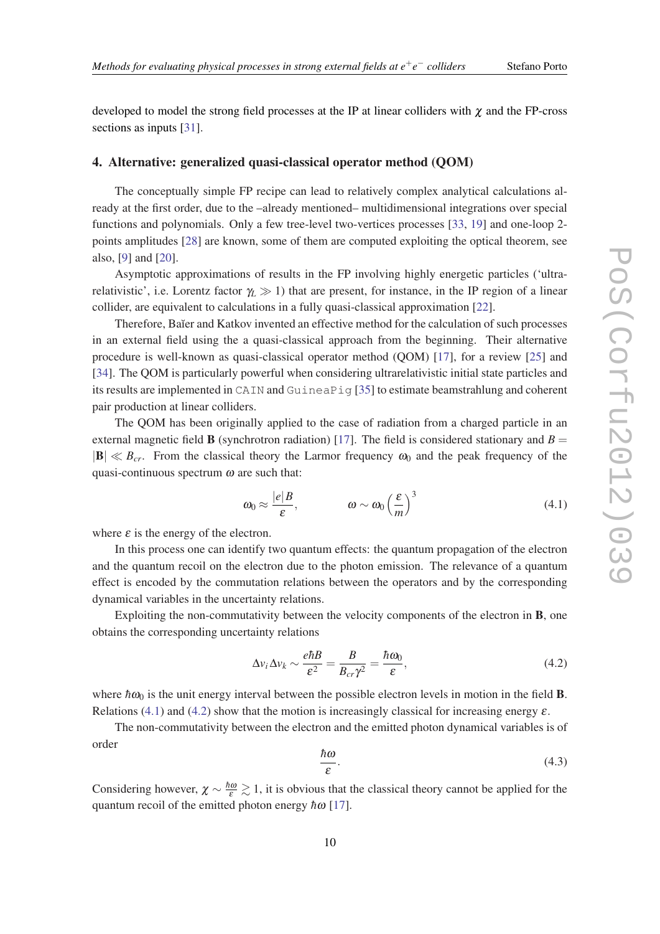<span id="page-9-0"></span>developed to model the strong field processes at the IP at linear colliders with  $\chi$  and the FP-cross sections as inputs [\[31\]](#page-13-0).

## 4. Alternative: generalized quasi-classical operator method (QOM)

The conceptually simple FP recipe can lead to relatively complex analytical calculations already at the first order, due to the –already mentioned– multidimensional integrations over special functions and polynomials. Only a few tree-level two-vertices processes [[33,](#page-13-0) [19](#page-12-0)] and one-loop 2 points amplitudes [\[28](#page-13-0)] are known, some of them are computed exploiting the optical theorem, see also, [[9](#page-12-0)] and [[20\]](#page-12-0).

Asymptotic approximations of results in the FP involving highly energetic particles ('ultrarelativistic', i.e. Lorentz factor  $\gamma_L \gg 1$ ) that are present, for instance, in the IP region of a linear collider, are equivalent to calculations in a fully quasi-classical approximation [[22\]](#page-12-0).

Therefore, Baĭer and Katkov invented an effective method for the calculation of such processes in an external field using the a quasi-classical approach from the beginning. Their alternative procedure is well-known as quasi-classical operator method (QOM) [[17\]](#page-12-0), for a review [[25\]](#page-13-0) and [[34\]](#page-13-0). The QOM is particularly powerful when considering ultrarelativistic initial state particles and its results are implemented in CAIN and GuineaPig [[35\]](#page-13-0) to estimate beamstrahlung and coherent pair production at linear colliders.

The QOM has been originally applied to the case of radiation from a charged particle in an external magnetic field **B** (synchrotron radiation) [[17\]](#page-12-0). The field is considered stationary and  $B =$  $|B| \ll B_{cr}$ . From the classical theory the Larmor frequency  $\omega_0$  and the peak frequency of the quasi-continuous spectrum  $\omega$  are such that:

$$
\omega_0 \approx \frac{|e|B}{\varepsilon}, \qquad \omega \sim \omega_0 \left(\frac{\varepsilon}{m}\right)^3 \tag{4.1}
$$

where  $\varepsilon$  is the energy of the electron.

In this process one can identify two quantum effects: the quantum propagation of the electron and the quantum recoil on the electron due to the photon emission. The relevance of a quantum effect is encoded by the commutation relations between the operators and by the corresponding dynamical variables in the uncertainty relations.

Exploiting the non-commutativity between the velocity components of the electron in B, one obtains the corresponding uncertainty relations

$$
\Delta v_i \Delta v_k \sim \frac{e\hbar B}{\varepsilon^2} = \frac{B}{B_{cr}\gamma^2} = \frac{\hbar \omega_0}{\varepsilon},\tag{4.2}
$$

where  $\hbar \omega_0$  is the unit energy interval between the possible electron levels in motion in the field **B**. Relations (4.1) and (4.2) show that the motion is increasingly classical for increasing energy  $\varepsilon$ .

The non-commutativity between the electron and the emitted photon dynamical variables is of order

$$
\frac{\hbar\omega}{\varepsilon}.\tag{4.3}
$$

Considering however,  $\chi \sim \frac{\hbar \omega}{\varepsilon} \gtrsim 1$ , it is obvious that the classical theory cannot be applied for the quantum recoil of the emitted photon energy  $hω$  [[17\]](#page-12-0).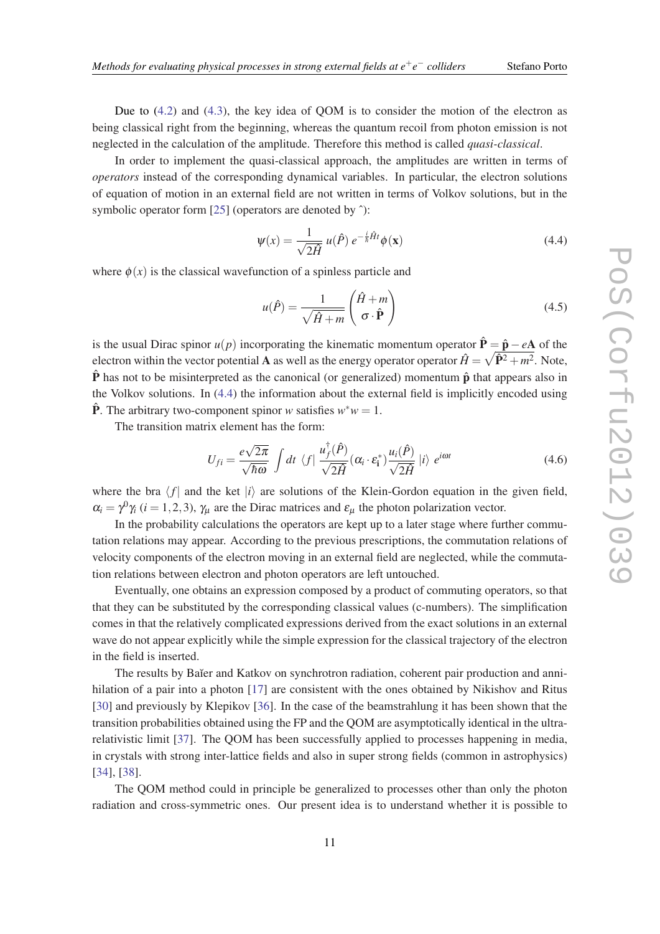Due to [\(4.2](#page-9-0)) and [\(4.3](#page-9-0)), the key idea of QOM is to consider the motion of the electron as being classical right from the beginning, whereas the quantum recoil from photon emission is not neglected in the calculation of the amplitude. Therefore this method is called *quasi-classical*.

In order to implement the quasi-classical approach, the amplitudes are written in terms of *operators* instead of the corresponding dynamical variables. In particular, the electron solutions of equation of motion in an external field are not written in terms of Volkov solutions, but in the symbolic operator form [[25\]](#page-13-0) (operators are denoted by  $\hat{ }$ ):

$$
\Psi(x) = \frac{1}{\sqrt{2\hat{H}}} u(\hat{P}) e^{-\frac{i}{\hbar}\hat{H}t} \phi(\mathbf{x})
$$
\n(4.4)

where  $\phi(x)$  is the classical wavefunction of a spinless particle and

$$
u(\hat{P}) = \frac{1}{\sqrt{\hat{H} + m}} \left( \frac{\hat{H} + m}{\sigma \cdot \hat{P}} \right)
$$
(4.5)

is the usual Dirac spinor  $u(p)$  incorporating the kinematic momentum operator  $\hat{\mathbf{P}} = \hat{\mathbf{p}} - e\mathbf{A}$  of the electron within the vector potential **A** as well as the energy operator operator  $\hat{H} = \sqrt{\hat{\mathbf{P}}^2 + m^2}$ . Note,  $\hat{P}$  has not to be misinterpreted as the canonical (or generalized) momentum  $\hat{p}$  that appears also in the Volkov solutions. In (4.4) the information about the external field is implicitly encoded using  $\hat{\mathbf{P}}$ . The arbitrary two-component spinor *w* satisfies  $w^*w = 1$ .

The transition matrix element has the form:

$$
U_{fi} = \frac{e\sqrt{2\pi}}{\sqrt{\hbar\omega}} \int dt \ \langle f | \ \frac{u_f^{\dagger}(\hat{P})}{\sqrt{2\hat{H}}} (\alpha_i \cdot \varepsilon_i^*) \frac{u_i(\hat{P})}{\sqrt{2\hat{H}}} | i \rangle \ e^{i\omega t}
$$
 (4.6)

where the bra  $\langle f |$  and the ket  $|i\rangle$  are solutions of the Klein-Gordon equation in the given field,  $\alpha_i = \gamma^0 \gamma_i$  (*i* = 1,2,3),  $\gamma_\mu$  are the Dirac matrices and  $\varepsilon_\mu$  the photon polarization vector.

In the probability calculations the operators are kept up to a later stage where further commutation relations may appear. According to the previous prescriptions, the commutation relations of velocity components of the electron moving in an external field are neglected, while the commutation relations between electron and photon operators are left untouched.

Eventually, one obtains an expression composed by a product of commuting operators, so that that they can be substituted by the corresponding classical values (c-numbers). The simplification comes in that the relatively complicated expressions derived from the exact solutions in an external wave do not appear explicitly while the simple expression for the classical trajectory of the electron in the field is inserted.

The results by Baĭer and Katkov on synchrotron radiation, coherent pair production and anni-hilation of a pair into a photon [[17\]](#page-12-0) are consistent with the ones obtained by Nikishov and Ritus [[30\]](#page-13-0) and previously by Klepikov [\[36](#page-13-0)]. In the case of the beamstrahlung it has been shown that the transition probabilities obtained using the FP and the QOM are asymptotically identical in the ultrarelativistic limit [[37\]](#page-13-0). The QOM has been successfully applied to processes happening in media, in crystals with strong inter-lattice fields and also in super strong fields (common in astrophysics) [[34\]](#page-13-0), [[38\]](#page-13-0).

The QOM method could in principle be generalized to processes other than only the photon radiation and cross-symmetric ones. Our present idea is to understand whether it is possible to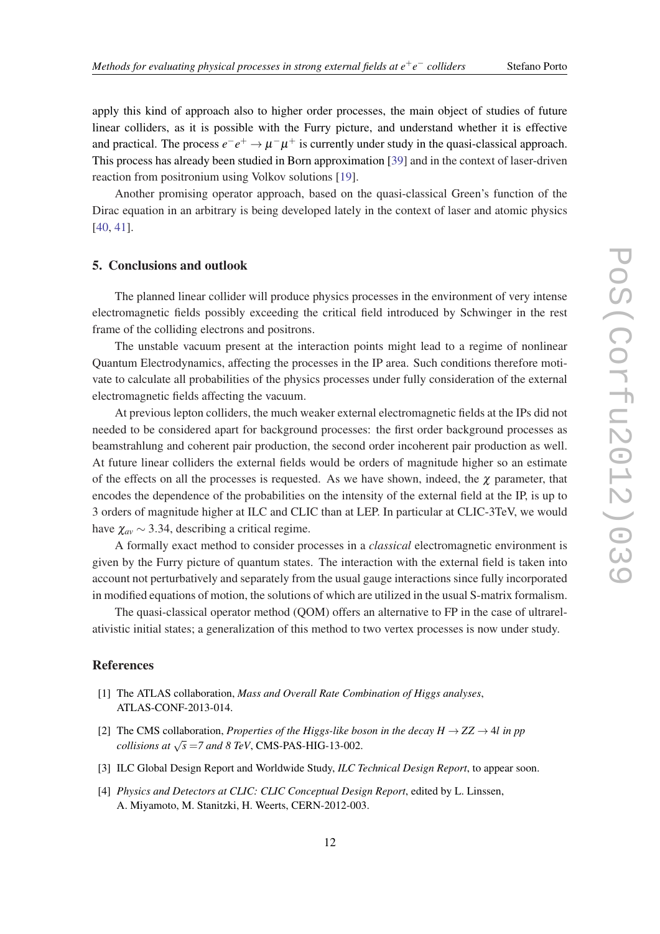− *colliders* Stefano Porto

<span id="page-11-0"></span>apply this kind of approach also to higher order processes, the main object of studies of future linear colliders, as it is possible with the Furry picture, and understand whether it is effective and practical. The process  $e^-e^+ \to \mu^-\mu^+$  is currently under study in the quasi-classical approach. This process has already been studied in Born approximation [\[39](#page-13-0)] and in the context of laser-driven reaction from positronium using Volkov solutions [[19](#page-12-0)].

Another promising operator approach, based on the quasi-classical Green's function of the Dirac equation in an arbitrary is being developed lately in the context of laser and atomic physics [[40,](#page-13-0) [41](#page-13-0)].

#### 5. Conclusions and outlook

The planned linear collider will produce physics processes in the environment of very intense electromagnetic fields possibly exceeding the critical field introduced by Schwinger in the rest frame of the colliding electrons and positrons.

The unstable vacuum present at the interaction points might lead to a regime of nonlinear Quantum Electrodynamics, affecting the processes in the IP area. Such conditions therefore motivate to calculate all probabilities of the physics processes under fully consideration of the external electromagnetic fields affecting the vacuum.

At previous lepton colliders, the much weaker external electromagnetic fields at the IPs did not needed to be considered apart for background processes: the first order background processes as beamstrahlung and coherent pair production, the second order incoherent pair production as well. At future linear colliders the external fields would be orders of magnitude higher so an estimate of the effects on all the processes is requested. As we have shown, indeed, the  $\chi$  parameter, that encodes the dependence of the probabilities on the intensity of the external field at the IP, is up to 3 orders of magnitude higher at ILC and CLIC than at LEP. In particular at CLIC-3TeV, we would have  $\chi_{av}$  ~ 3.34, describing a critical regime.

A formally exact method to consider processes in a *classical* electromagnetic environment is given by the Furry picture of quantum states. The interaction with the external field is taken into account not perturbatively and separately from the usual gauge interactions since fully incorporated in modified equations of motion, the solutions of which are utilized in the usual S-matrix formalism.

The quasi-classical operator method (QOM) offers an alternative to FP in the case of ultrarelativistic initial states; a generalization of this method to two vertex processes is now under study.

#### References

- [1] The ATLAS collaboration, *Mass and Overall Rate Combination of Higgs analyses*, ATLAS-CONF-2013-014.
- [2] The CMS collaboration, *Properties of the Higgs-like boson in the decay*  $H \rightarrow ZZ \rightarrow 4l$  *in pp collisions at*  $\sqrt{s}$  =7 and 8 TeV, CMS-PAS-HIG-13-002.
- [3] ILC Global Design Report and Worldwide Study, *ILC Technical Design Report*, to appear soon.
- [4] *Physics and Detectors at CLIC: CLIC Conceptual Design Report*, edited by L. Linssen, A. Miyamoto, M. Stanitzki, H. Weerts, CERN-2012-003.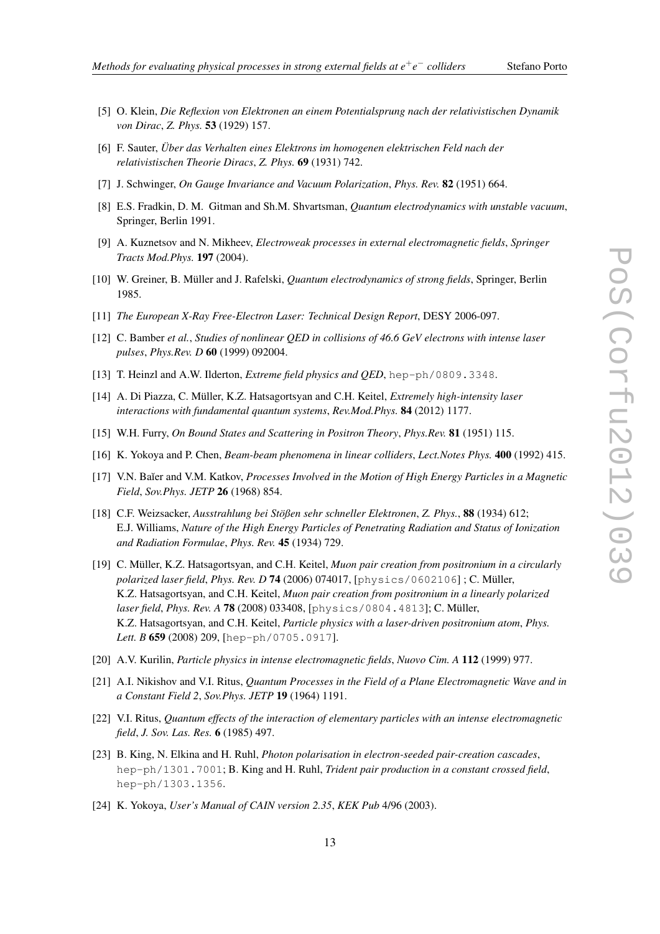- − *colliders* Stefano Porto
- <span id="page-12-0"></span>[5] O. Klein, *Die Reflexion von Elektronen an einem Potentialsprung nach der relativistischen Dynamik von Dirac*, *Z. Phys.* 53 (1929) 157.
- [6] F. Sauter, *Über das Verhalten eines Elektrons im homogenen elektrischen Feld nach der relativistischen Theorie Diracs*, *Z. Phys.* 69 (1931) 742.
- [7] J. Schwinger, *On Gauge Invariance and Vacuum Polarization*, *Phys. Rev.* 82 (1951) 664.
- [8] E.S. Fradkin, D. M. Gitman and Sh.M. Shvartsman, *Quantum electrodynamics with unstable vacuum*, Springer, Berlin 1991.
- [9] A. Kuznetsov and N. Mikheev, *Electroweak processes in external electromagnetic fields*, *Springer Tracts Mod.Phys.* 197 (2004).
- [10] W. Greiner, B. Müller and J. Rafelski, *Quantum electrodynamics of strong fields*, Springer, Berlin 1985.
- [11] *The European X-Ray Free-Electron Laser: Technical Design Report*, DESY 2006-097.
- [12] C. Bamber *et al.*, *Studies of nonlinear QED in collisions of 46.6 GeV electrons with intense laser pulses*, *Phys.Rev. D* 60 (1999) 092004.
- [13] T. Heinzl and A.W. Ilderton, *Extreme field physics and QED*, hep-ph/0809.3348.
- [14] A. Di Piazza, C. Müller, K.Z. Hatsagortsyan and C.H. Keitel, *Extremely high-intensity laser interactions with fundamental quantum systems*, *Rev.Mod.Phys.* 84 (2012) 1177.
- [15] W.H. Furry, *On Bound States and Scattering in Positron Theory*, *Phys.Rev.* 81 (1951) 115.
- [16] K. Yokoya and P. Chen, *Beam-beam phenomena in linear colliders*, *Lect.Notes Phys.* 400 (1992) 415.
- [17] V.N. Ba˘ıer and V.M. Katkov, *Processes Involved in the Motion of High Energy Particles in a Magnetic Field*, *Sov.Phys. JETP* 26 (1968) 854.
- [18] C.F. Weizsacker, *Ausstrahlung bei Stößen sehr schneller Elektronen*, *Z. Phys.*, 88 (1934) 612; E.J. Williams, *Nature of the High Energy Particles of Penetrating Radiation and Status of Ionization and Radiation Formulae*, *Phys. Rev.* 45 (1934) 729.
- [19] C. Müller, K.Z. Hatsagortsyan, and C.H. Keitel, *Muon pair creation from positronium in a circularly polarized laser field*, *Phys. Rev. D* 74 (2006) 074017, [physics/0602106] ; C. Müller, K.Z. Hatsagortsyan, and C.H. Keitel, *Muon pair creation from positronium in a linearly polarized laser field*, *Phys. Rev. A* 78 (2008) 033408, [physics/0804.4813]; C. Müller, K.Z. Hatsagortsyan, and C.H. Keitel, *Particle physics with a laser-driven positronium atom*, *Phys. Lett. B* 659 (2008) 209, [hep-ph/0705.0917].
- [20] A.V. Kurilin, *Particle physics in intense electromagnetic fields*, *Nuovo Cim. A* 112 (1999) 977.
- [21] A.I. Nikishov and V.I. Ritus, *Quantum Processes in the Field of a Plane Electromagnetic Wave and in a Constant Field 2*, *Sov.Phys. JETP* 19 (1964) 1191.
- [22] V.I. Ritus, *Quantum effects of the interaction of elementary particles with an intense electromagnetic field*, *J. Sov. Las. Res.* 6 (1985) 497.
- [23] B. King, N. Elkina and H. Ruhl, *Photon polarisation in electron-seeded pair-creation cascades*, hep-ph/1301.7001; B. King and H. Ruhl, *Trident pair production in a constant crossed field*, hep-ph/1303.1356.
- [24] K. Yokoya, *User's Manual of CAIN version 2.35*, *KEK Pub* 4/96 (2003).